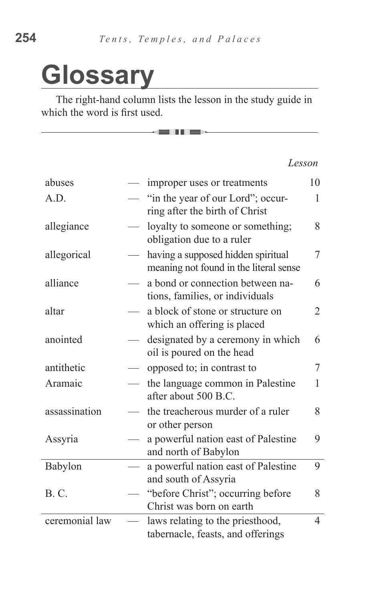## **Glossary**

The right-hand column lists the lesson in the study guide in which the word is first used.

—— EIII P———

*Lesson*

| abuses         | improper uses or treatments                                                  | 10 |
|----------------|------------------------------------------------------------------------------|----|
| A.D.           | "in the year of our Lord"; occur-<br>ring after the birth of Christ          | 1  |
| allegiance     | loyalty to someone or something;<br>obligation due to a ruler                | 8  |
| allegorical    | having a supposed hidden spiritual<br>meaning not found in the literal sense | 7  |
| alliance       | a bond or connection between na-<br>tions, families, or individuals          | 6  |
| altar          | a block of stone or structure on<br>which an offering is placed              | 2  |
| anointed       | designated by a ceremony in which<br>oil is poured on the head               | 6  |
| antithetic     | opposed to; in contrast to                                                   | 7  |
| Aramaic        | the language common in Palestine<br>after about 500 B.C.                     | 1  |
| assassination  | the treacherous murder of a ruler<br>or other person                         | 8  |
| Assyria        | a powerful nation east of Palestine<br>and north of Babylon                  | 9  |
| Babylon        | a powerful nation east of Palestine<br>and south of Assyria                  | 9  |
| <b>B.C.</b>    | "before Christ"; occurring before<br>Christ was born on earth                | 8  |
| ceremonial law | laws relating to the priesthood,<br>tabernacle, feasts, and offerings        | 4  |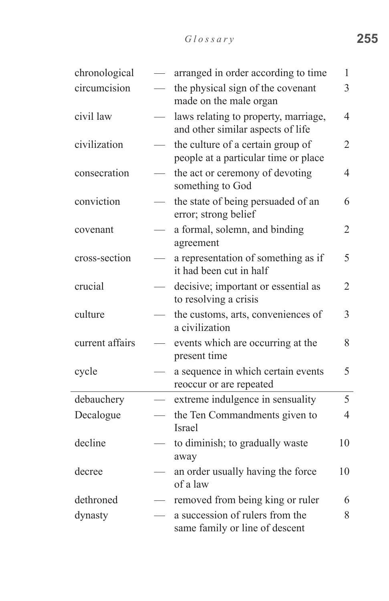| chronological   |                          | arranged in order according to time                                       | 1              |
|-----------------|--------------------------|---------------------------------------------------------------------------|----------------|
| circumcision    |                          | the physical sign of the covenant<br>made on the male organ               | 3              |
| civil law       |                          | laws relating to property, marriage,<br>and other similar aspects of life | 4              |
| civilization    | $\overline{\phantom{0}}$ | the culture of a certain group of<br>people at a particular time or place | 2              |
| consecration    |                          | the act or ceremony of devoting<br>something to God                       | $\overline{4}$ |
| conviction      |                          | the state of being persuaded of an<br>error; strong belief                | 6              |
| covenant        |                          | a formal, solemn, and binding<br>agreement                                | 2              |
| cross-section   |                          | a representation of something as if<br>it had been cut in half            | 5              |
| crucial         |                          | decisive; important or essential as<br>to resolving a crisis              | $\overline{2}$ |
| culture         |                          | the customs, arts, conveniences of<br>a civilization                      | 3              |
| current affairs |                          | events which are occurring at the<br>present time                         | 8              |
| cycle           |                          | a sequence in which certain events<br>reoccur or are repeated             | 5              |
| debauchery      |                          | extreme indulgence in sensuality                                          | 5              |
| Decalogue       |                          | the Ten Commandments given to<br><b>Israel</b>                            | $\overline{4}$ |
| decline         |                          | to diminish; to gradually waste<br>away                                   | 10             |
| decree          |                          | an order usually having the force<br>of a law                             | 10             |
| dethroned       |                          | removed from being king or ruler                                          | 6              |
| dynasty         |                          | a succession of rulers from the<br>same family or line of descent         | 8              |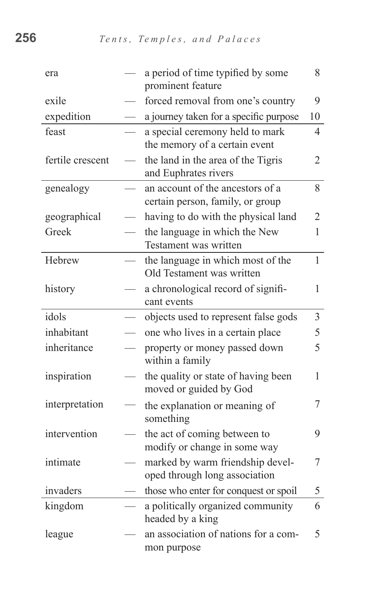| era              |                          | a period of time typified by some<br>prominent feature               | 8              |
|------------------|--------------------------|----------------------------------------------------------------------|----------------|
| exile            |                          | forced removal from one's country                                    | 9              |
| expedition       |                          | a journey taken for a specific purpose                               | 10             |
| feast            |                          | a special ceremony held to mark<br>the memory of a certain event     | $\overline{4}$ |
| fertile crescent |                          | the land in the area of the Tigris<br>and Euphrates rivers           | $\overline{2}$ |
| genealogy        |                          | an account of the ancestors of a<br>certain person, family, or group | 8              |
| geographical     |                          | having to do with the physical land                                  | $\overline{2}$ |
| Greek            | $\overline{\phantom{0}}$ | the language in which the New<br>Testament was written               | 1              |
| Hebrew           |                          | the language in which most of the<br>Old Testament was written       | $\mathbf{1}$   |
| history          |                          | a chronological record of signifi-<br>cant events                    | 1              |
| idols            |                          | objects used to represent false gods                                 | $\overline{3}$ |
| inhabitant       |                          | one who lives in a certain place                                     | 5              |
| inheritance      |                          | property or money passed down<br>within a family                     | 5              |
| inspiration      |                          | the quality or state of having been<br>moved or guided by God        | 1              |
| interpretation   |                          | the explanation or meaning of<br>something                           | 7              |
| intervention     |                          | the act of coming between to<br>modify or change in some way         | 9              |
| intimate         |                          | marked by warm friendship devel-<br>oped through long association    | 7              |
| invaders         |                          | those who enter for conquest or spoil                                | 5              |
| kingdom          |                          | a politically organized community<br>headed by a king                | 6              |
| league           |                          | an association of nations for a com-<br>mon purpose                  | 5              |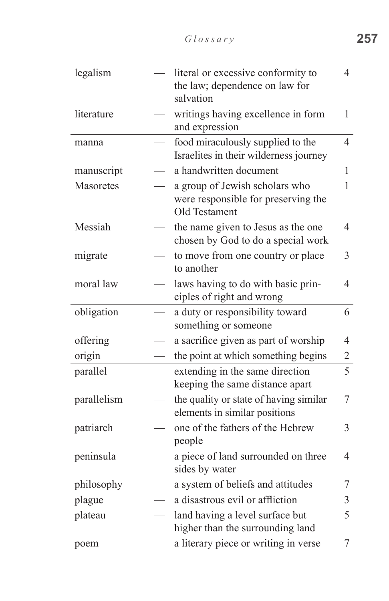| legalism    | literal or excessive conformity to<br>the law; dependence on law for<br>salvation      | 4                        |
|-------------|----------------------------------------------------------------------------------------|--------------------------|
| literature  | writings having excellence in form<br>and expression                                   | 1                        |
| manna       | food miraculously supplied to the<br>Israelites in their wilderness journey            | $\overline{4}$           |
| manuscript  | a handwritten document                                                                 | 1                        |
| Masoretes   | a group of Jewish scholars who<br>were responsible for preserving the<br>Old Testament | 1                        |
| Messiah     | the name given to Jesus as the one<br>chosen by God to do a special work               | 4                        |
| migrate     | to move from one country or place<br>to another                                        | 3                        |
| moral law   | laws having to do with basic prin-<br>ciples of right and wrong                        | $\overline{\mathcal{A}}$ |
| obligation  | a duty or responsibility toward<br>something or someone                                | 6                        |
| offering    | a sacrifice given as part of worship                                                   | $\overline{4}$           |
| origin      | the point at which something begins                                                    | $\overline{2}$           |
| parallel    | extending in the same direction<br>keeping the same distance apart                     | 5                        |
| parallelism | the quality or state of having similar<br>elements in similar positions                | 7                        |
| patriarch   | one of the fathers of the Hebrew<br>people                                             | 3                        |
| peninsula   | a piece of land surrounded on three<br>sides by water                                  | 4                        |
| philosophy  | a system of beliefs and attitudes                                                      | 7                        |
| plague      | a disastrous evil or affliction                                                        | 3                        |
| plateau     | land having a level surface but<br>higher than the surrounding land                    | 5                        |
| poem        | a literary piece or writing in verse                                                   | 7                        |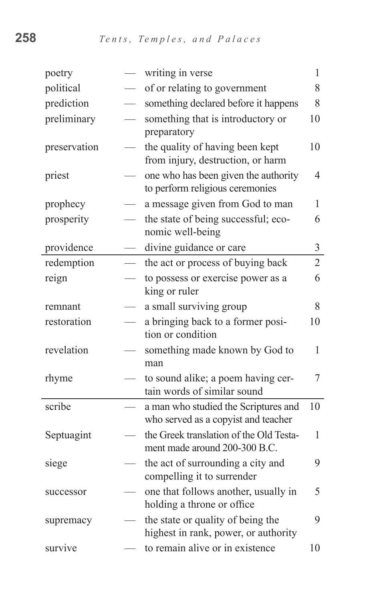| poetry       |                                 | writing in verse                                                            | $\mathbf{1}$   |
|--------------|---------------------------------|-----------------------------------------------------------------------------|----------------|
| political    |                                 | of or relating to government                                                | 8              |
| prediction   |                                 | something declared before it happens                                        | 8              |
| preliminary  |                                 | something that is introductory or<br>preparatory                            | 10             |
| preservation |                                 | the quality of having been kept<br>from injury, destruction, or harm        | 10             |
| priest       |                                 | one who has been given the authority<br>to perform religious ceremonies     | $\overline{4}$ |
| prophecy     |                                 | a message given from God to man                                             | 1              |
| prosperity   |                                 | the state of being successful; eco-<br>nomic well-being                     | 6              |
| providence   |                                 | divine guidance or care                                                     | $\mathfrak{Z}$ |
| redemption   |                                 | the act or process of buying back                                           | $\overline{2}$ |
| reign        | $\overbrace{\qquad \qquad }^{}$ | to possess or exercise power as a<br>king or ruler                          | 6              |
| remnant      |                                 | a small surviving group                                                     | 8              |
| restoration  |                                 | a bringing back to a former posi-<br>tion or condition                      | 10             |
| revelation   |                                 | something made known by God to<br>man                                       | 1              |
| rhyme        |                                 | to sound alike; a poem having cer-<br>tain words of similar sound           | 7              |
| scribe       |                                 | a man who studied the Scriptures and<br>who served as a copyist and teacher | 10             |
| Septuagint   |                                 | the Greek translation of the Old Testa-<br>ment made around 200-300 B.C.    | 1              |
| siege        |                                 | the act of surrounding a city and<br>compelling it to surrender             | 9              |
| successor    |                                 | one that follows another, usually in<br>holding a throne or office          | 5              |
| supremacy    |                                 | the state or quality of being the<br>highest in rank, power, or authority   | 9              |
| survive      |                                 | to remain alive or in existence                                             | 10             |